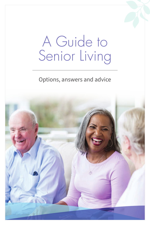# A Guide to Senior Living

### Options, answers and advice

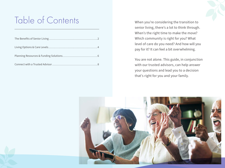## Table of Contents When you're considering the transition to

senior living, there's a lot to think through. When's the right time to make the move? Which community is right for you? What level of care do you need? And how will you pay for it? It can feel a bit overwhelming.

You are not alone. This guide, in conjunction with our trusted advisors, can help answer your questions and lead you to a decision that's right for you and your family.

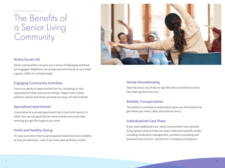### The Benefits of a Senior Living **Community**



#### **Active Social Life**

Senior communities can give you a sense of belonging and keep you engaged. Neighbors can quickly become friends as you share a game, coffee or a simple laugh.

#### **Engaging Community Activities**

There are plenty of opportunities for fun, including on-site, organized activities and social outings. Happy hours, clubs, wellness classes and more can keep you busy, fit and involved.

#### **Specialized Apartments**

Come home to a private apartment that is built with seniors in mind. You can say good-bye to home maintenance and relax knowing you get the support you need.

#### **Fresh and Healthy Dining**

It's easy and stress-free to eat prepared meals that are as healthy as they are delicious—even if you have special dietary needs.

#### **Handy Housekeeping**

Take the stress out of day-to-day life with convenient services like cleaning and linen care.

#### **Reliable Transportation**

The ability to schedule transportation gives you the freedom to get where you need, safely and without worry.

#### **Individualized Care Plans**

If you need additional care, many communities have assisted living options that provide care plans tailored to specific needs, including medication management, nutrition counseling and personal care services—all with 24/7 emergency assistance.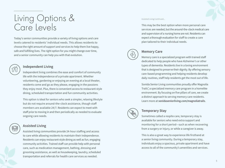### Living Options & Care Levels

Today's senior communities provide a variety of living options and care levels catered to residents' individual needs. This allows residents to choose the right amount of support and services to help them live happy, safe and fulfilling lives. The right option for you might change over time, and a senior community can help you with that evolution.

#### **Independent Living**

Independent living combines the ease and comfort of community life with the independence of a private apartment. Whether volunteering, gardening or enjoying an evening at a local theater, residents come and go as they please, engaging in the passions they enjoy most. Plus, there is convenient access to restaurant-style dining, scheduled transportation and fun community activities.

This option is ideal for seniors who seek a simpler, relaxing lifestyle but do not require around-the-clock assistance, though staff members are available 24/7. Residents can expect to meet with staff prior to moving in and then periodically as needed to evaluate ongoing care needs.



#### **Assisted Living**

Assisted living communities provide 24-hour staffing and access to care while allowing residents to maintain their independence. Residents can enjoy restaurant-style dining as well as fun, engaging community activities. Trained staff can provide help with personal care, such as medication management, bathing, dressing and grooming assistance, as well as housekeeping, laundry, scheduled transportation and referrals for health care services as needed.

Assisted Living Continued...

This may be the best option when more personal care services are needed, but the around-the-clock medical care and supervision of a nursing home are not. Residents can expect a thorough evaluation for staff to create a care plan tailored to their individual needs.



#### **Memory Care**

Memory care is a specialized program with trained staff dedicated to help people who have Alzheimer's or other types of dementia. Residents live in a loving environment that is designed to preserve their dignity. By offering sensory care-based programming and helping residents develop daily routines, staff help residents get the most out of life.

Sonida Senior Living communities proudly offer Magnolia Trails ™ , a specialized memory care program in a homelike environment. By focusing on five pillars of care, we create a distinct approach to serving memory care residents. Learn more at **sonidaseniorliving.com/magnoliatrails** .



#### **Temporary Stay**

Sometimes called a respite care, temporary stay is available for seniors who need extra support and monitoring for a short period—such as when recovering from a surgery or injury, or while a caregiver is away.

This is also a great way to experience life firsthand at a senior living community. During a temporary stay, individuals enjoy a spacious, private apartment and have access to all of the community's amenities and services.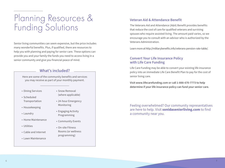## Planning Resources & Funding Solutions

Senior living communities can seem expensive, but the price includes many wonderful benefits. Plus, if qualified, there are resources to help you with planning and paying for senior care. These options can provide you and your family the funds you need to access living in a senior community and give you financial peace of mind.

#### **What's included?**

Here are some of the community benefits and services you may receive as part of your monthly payment.

- Dining Services
- Scheduled Transportation
- Housekeeping
- Laundry
- Home Maintenance
- Utilities
- Cable and Internet
- Lawn Maintenance
- Snow Removal (where applicable)
- 24-hour Emergency Monitoring
- Engaging Activity Programming
- Community Events
- On-site Fitness Rooms (or wellness programming)

#### **Veteran Aid & Attendance Benefit**

The Veterans Aid and Attendance (A&A) Benefit provides benefits that reduce the cost of care for qualified veterans and surviving spouses who require assisted living. The amount paid varies, so we encourage you to consult with an advisor who is authorized by the Veterans Administration.

Learn more at http://militarybenefits.info/veterans-pension-rate-table/.

#### **Convert Your Life Insurance Policy with Life Care Funding**

Life Care Funding may be able to convert your existing life insurance policy into an immediate Life Care Benefit Plan to pay for the cost of senior living care.

**Visit www.lifecarefunding.com or call 1-888-670-7773 to help determine if your life insurance policy can fund your senior care.**

Feeling overwhelmed? Our community representatives are here to help. Visit **sonidaseniorliving.com** to find a community near you.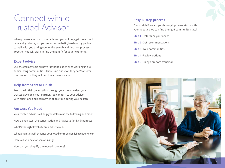### Connect with a Trusted Advisor

When you work with a trusted advisor, you not only get free expert care and guidance, but you get an empathetic, trustworthy partner to walk with you during your entire search and decision process. Together you will work to find the right fit for your next home.

#### **Expert Advice**

Our trusted advisors all have firsthand experience working in our senior living communities. There's no question they can't answer themselves, or they will find the answer for you.

#### **Help from Start to Finish**

From the initial conversation through your move-in day, your trusted advisor is your partner. You can turn to your advisor with questions and seek advice at any time during your search.

#### **Answers You Need**

Your trusted advisor will help you determine the following and more: How do you start the conversation and navigate family dynamics? What's the right level of care and services? What amenities will enhance your loved one's senior living experience? How will you pay for senior living? How can you simplify the move-in process?

### **Easy, 5-step process**

Our straightforward yet thorough process starts with your needs so we can find the right community match.

- **Step 1 -**Determine your needs
- **Step 2 -**Get recommendations
- **Step 3 -**Tour communities
- **Step 4 -**Review options
- **Step 5 -**Enjoy a smooth transition